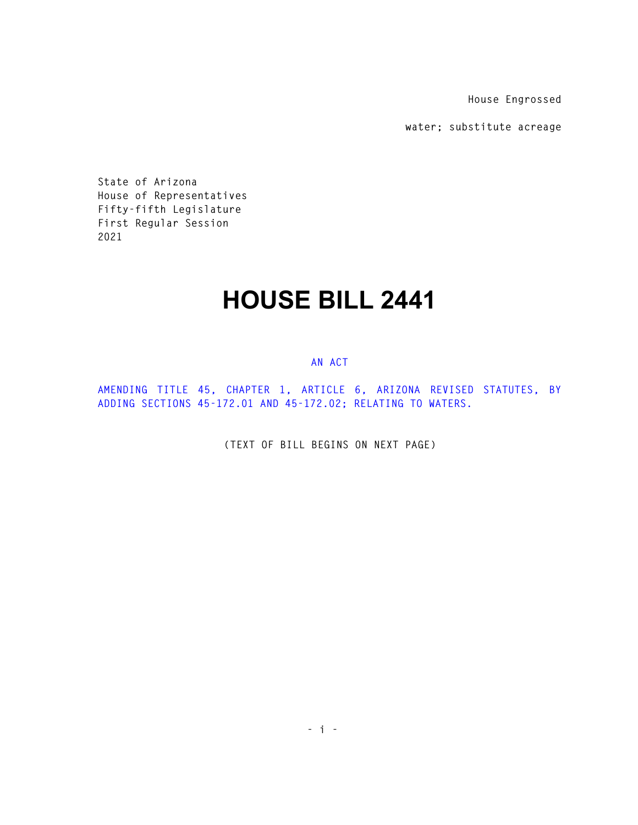**House Engrossed** 

**water; substitute acreage** 

**State of Arizona House of Representatives Fifty-fifth Legislature First Regular Session 2021** 

## **HOUSE BILL 2441**

## **AN ACT**

**AMENDING TITLE 45, CHAPTER 1, ARTICLE 6, ARIZONA REVISED STATUTES, BY ADDING SECTIONS 45-172.01 AND 45-172.02; RELATING TO WATERS.** 

**(TEXT OF BILL BEGINS ON NEXT PAGE)**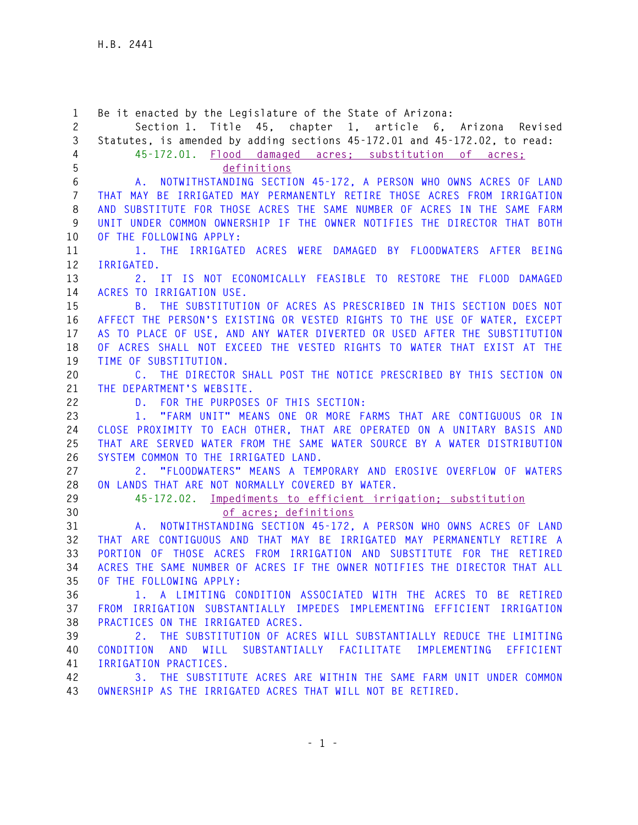**1 Be it enacted by the Legislature of the State of Arizona: 2 Section 1. Title 45, chapter 1, article 6, Arizona Revised 3 Statutes, is amended by adding sections 45-172.01 and 45-172.02, to read: 4 45-172.01. Flood damaged acres; substitution of acres; 5 definitions 6 A. NOTWITHSTANDING SECTION 45-172, A PERSON WHO OWNS ACRES OF LAND 7 THAT MAY BE IRRIGATED MAY PERMANENTLY RETIRE THOSE ACRES FROM IRRIGATION 8 AND SUBSTITUTE FOR THOSE ACRES THE SAME NUMBER OF ACRES IN THE SAME FARM 9 UNIT UNDER COMMON OWNERSHIP IF THE OWNER NOTIFIES THE DIRECTOR THAT BOTH 10 OF THE FOLLOWING APPLY: 11 1. THE IRRIGATED ACRES WERE DAMAGED BY FLOODWATERS AFTER BEING 12 IRRIGATED. 13 2. IT IS NOT ECONOMICALLY FEASIBLE TO RESTORE THE FLOOD DAMAGED 14 ACRES TO IRRIGATION USE. 15 B. THE SUBSTITUTION OF ACRES AS PRESCRIBED IN THIS SECTION DOES NOT 16 AFFECT THE PERSON'S EXISTING OR VESTED RIGHTS TO THE USE OF WATER, EXCEPT 17 AS TO PLACE OF USE, AND ANY WATER DIVERTED OR USED AFTER THE SUBSTITUTION 18 OF ACRES SHALL NOT EXCEED THE VESTED RIGHTS TO WATER THAT EXIST AT THE 19 TIME OF SUBSTITUTION. 20 C. THE DIRECTOR SHALL POST THE NOTICE PRESCRIBED BY THIS SECTION ON 21 THE DEPARTMENT'S WEBSITE. 22 D. FOR THE PURPOSES OF THIS SECTION: 23 1. "FARM UNIT" MEANS ONE OR MORE FARMS THAT ARE CONTIGUOUS OR IN 24 CLOSE PROXIMITY TO EACH OTHER, THAT ARE OPERATED ON A UNITARY BASIS AND 25 THAT ARE SERVED WATER FROM THE SAME WATER SOURCE BY A WATER DISTRIBUTION 26 SYSTEM COMMON TO THE IRRIGATED LAND. 27 2. "FLOODWATERS" MEANS A TEMPORARY AND EROSIVE OVERFLOW OF WATERS 28 ON LANDS THAT ARE NOT NORMALLY COVERED BY WATER. 29 45-172.02. Impediments to efficient irrigation; substitution 30 of acres; definitions 31 A. NOTWITHSTANDING SECTION 45-172, A PERSON WHO OWNS ACRES OF LAND 32 THAT ARE CONTIGUOUS AND THAT MAY BE IRRIGATED MAY PERMANENTLY RETIRE A 33 PORTION OF THOSE ACRES FROM IRRIGATION AND SUBSTITUTE FOR THE RETIRED 34 ACRES THE SAME NUMBER OF ACRES IF THE OWNER NOTIFIES THE DIRECTOR THAT ALL 35 OF THE FOLLOWING APPLY: 36 1. A LIMITING CONDITION ASSOCIATED WITH THE ACRES TO BE RETIRED 37 FROM IRRIGATION SUBSTANTIALLY IMPEDES IMPLEMENTING EFFICIENT IRRIGATION 38 PRACTICES ON THE IRRIGATED ACRES. 39 2. THE SUBSTITUTION OF ACRES WILL SUBSTANTIALLY REDUCE THE LIMITING 40 CONDITION AND WILL SUBSTANTIALLY FACILITATE IMPLEMENTING EFFICIENT 41 IRRIGATION PRACTICES. 42 3. THE SUBSTITUTE ACRES ARE WITHIN THE SAME FARM UNIT UNDER COMMON 43 OWNERSHIP AS THE IRRIGATED ACRES THAT WILL NOT BE RETIRED.**